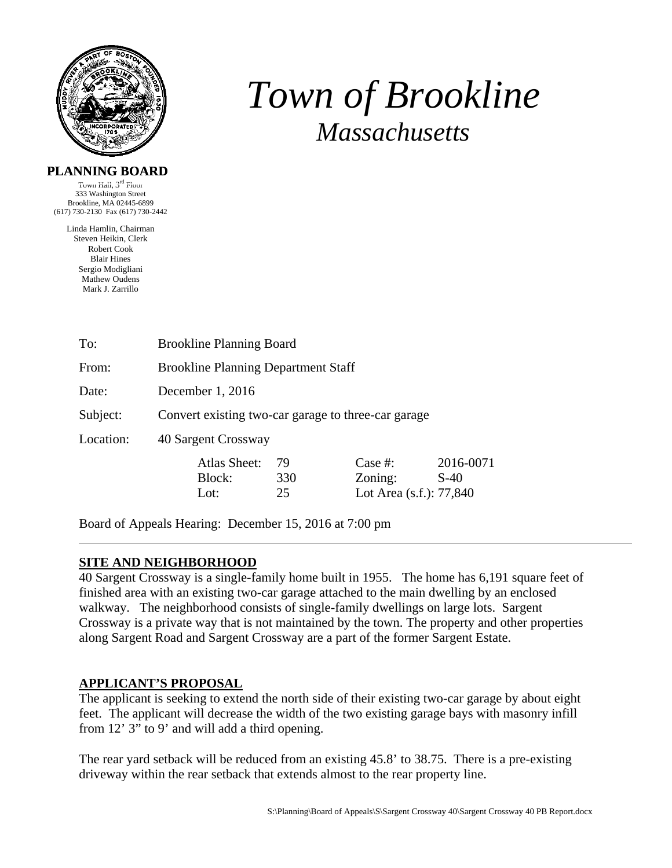

# *Town of Brookline Massachusetts*

## **PLANNING BOARD**

Town Hall,  $3<sup>rd</sup>$  Floor 333 Washington Street Brookline, MA 02445-6899 (617) 730-2130 Fax (617) 730-2442

> Linda Hamlin, Chairman Steven Heikin, Clerk Robert Cook Blair Hines Sergio Modigliani Mathew Oudens Mark J. Zarrillo

| To:       | <b>Brookline Planning Board</b>                     |                 |                                               |                     |  |  |
|-----------|-----------------------------------------------------|-----------------|-----------------------------------------------|---------------------|--|--|
| From:     | <b>Brookline Planning Department Staff</b>          |                 |                                               |                     |  |  |
| Date:     | December $1, 2016$                                  |                 |                                               |                     |  |  |
| Subject:  | Convert existing two-car garage to three-car garage |                 |                                               |                     |  |  |
| Location: | 40 Sargent Crossway                                 |                 |                                               |                     |  |  |
|           | Atlas Sheet:<br>Block:<br>Lot:                      | 79<br>330<br>25 | Case #:<br>Zoning:<br>Lot Area (s.f.): 77,840 | 2016-0071<br>$S-40$ |  |  |

Board of Appeals Hearing: December 15, 2016 at 7:00 pm

# **SITE AND NEIGHBORHOOD**

40 Sargent Crossway is a single-family home built in 1955. The home has 6,191 square feet of finished area with an existing two-car garage attached to the main dwelling by an enclosed walkway. The neighborhood consists of single-family dwellings on large lots. Sargent Crossway is a private way that is not maintained by the town. The property and other properties along Sargent Road and Sargent Crossway are a part of the former Sargent Estate.

# **APPLICANT'S PROPOSAL**

The applicant is seeking to extend the north side of their existing two-car garage by about eight feet. The applicant will decrease the width of the two existing garage bays with masonry infill from 12' 3" to 9' and will add a third opening.

The rear yard setback will be reduced from an existing 45.8' to 38.75. There is a pre-existing driveway within the rear setback that extends almost to the rear property line.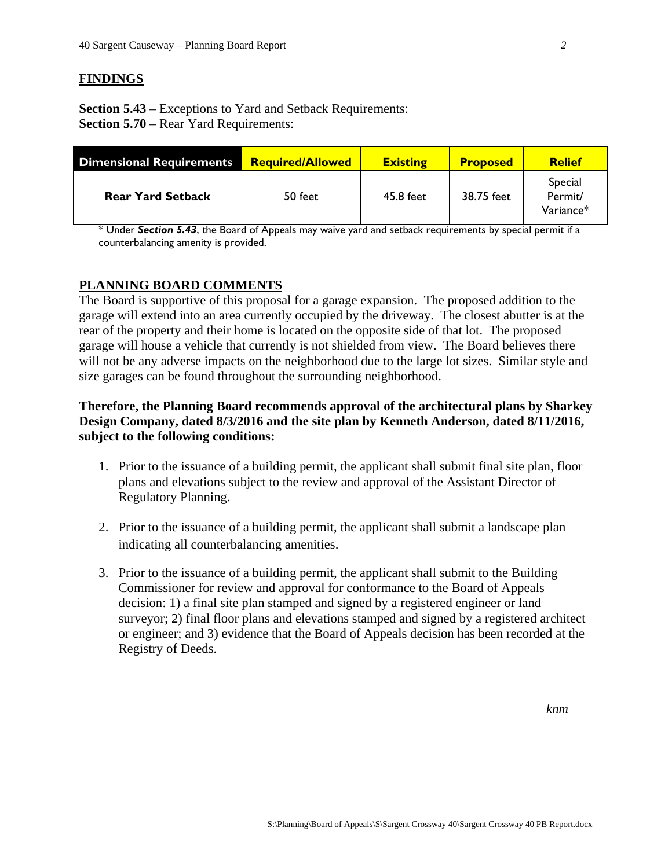#### **FINDINGS**

# **Section 5.43** – Exceptions to Yard and Setback Requirements: **Section 5.70** – Rear Yard Requirements:

| <b>Dimensional Requirements</b> | <b>Required/Allowed</b> | <b>Existing</b> | <b>Proposed</b> | <b>Relief</b>                     |
|---------------------------------|-------------------------|-----------------|-----------------|-----------------------------------|
| <b>Rear Yard Setback</b>        | 50 feet                 | 45.8 feet       | 38.75 feet      | Special<br>Permit/<br>$Variance*$ |

\* Under *Section 5.43*, the Board of Appeals may waive yard and setback requirements by special permit if a counterbalancing amenity is provided.

#### **PLANNING BOARD COMMENTS**

The Board is supportive of this proposal for a garage expansion. The proposed addition to the garage will extend into an area currently occupied by the driveway. The closest abutter is at the rear of the property and their home is located on the opposite side of that lot. The proposed garage will house a vehicle that currently is not shielded from view. The Board believes there will not be any adverse impacts on the neighborhood due to the large lot sizes. Similar style and size garages can be found throughout the surrounding neighborhood.

## **Therefore, the Planning Board recommends approval of the architectural plans by Sharkey Design Company, dated 8/3/2016 and the site plan by Kenneth Anderson, dated 8/11/2016, subject to the following conditions:**

- 1. Prior to the issuance of a building permit, the applicant shall submit final site plan, floor plans and elevations subject to the review and approval of the Assistant Director of Regulatory Planning.
- 2. Prior to the issuance of a building permit, the applicant shall submit a landscape plan indicating all counterbalancing amenities.
- 3. Prior to the issuance of a building permit, the applicant shall submit to the Building Commissioner for review and approval for conformance to the Board of Appeals decision: 1) a final site plan stamped and signed by a registered engineer or land surveyor; 2) final floor plans and elevations stamped and signed by a registered architect or engineer; and 3) evidence that the Board of Appeals decision has been recorded at the Registry of Deeds.